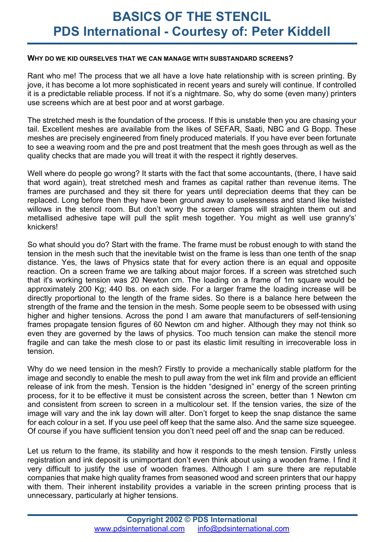#### **WHY DO WE KID OURSELVES THAT WE CAN MANAGE WITH SUBSTANDARD SCREENS?**

Rant who me! The process that we all have a love hate relationship with is screen printing. By jove, it has become a lot more sophisticated in recent years and surely will continue. If controlled it is a predictable reliable process. If not it's a nightmare. So, why do some (even many) printers use screens which are at best poor and at worst garbage.

The stretched mesh is the foundation of the process. If this is unstable then you are chasing your tail. Excellent meshes are available from the likes of SEFAR, Saati, NBC and G Bopp. These meshes are precisely engineered from finely produced materials. If you have ever been fortunate to see a weaving room and the pre and post treatment that the mesh goes through as well as the quality checks that are made you will treat it with the respect it rightly deserves.

Well where do people go wrong? It starts with the fact that some accountants, (there, I have said that word again), treat stretched mesh and frames as capital rather than revenue items. The frames are purchased and they sit there for years until depreciation deems that they can be replaced. Long before then they have been ground away to uselessness and stand like twisted willows in the stencil room. But don't worry the screen clamps will straighten them out and metallised adhesive tape will pull the split mesh together. You might as well use granny's' knickers!

So what should you do? Start with the frame. The frame must be robust enough to with stand the tension in the mesh such that the inevitable twist on the frame is less than one tenth of the snap distance. Yes, the laws of Physics state that for every action there is an equal and opposite reaction. On a screen frame we are talking about major forces. If a screen was stretched such that it's working tension was 20 Newton cm. The loading on a frame of 1m square would be approximately 200 Kg; 440 lbs. on each side. For a larger frame the loading increase will be directly proportional to the length of the frame sides. So there is a balance here between the strength of the frame and the tension in the mesh. Some people seem to be obsessed with using higher and higher tensions. Across the pond I am aware that manufacturers of self-tensioning frames propagate tension figures of 60 Newton cm and higher. Although they may not think so even they are governed by the laws of physics. Too much tension can make the stencil more fragile and can take the mesh close to or past its elastic limit resulting in irrecoverable loss in tension.

Why do we need tension in the mesh? Firstly to provide a mechanically stable platform for the image and secondly to enable the mesh to pull away from the wet ink film and provide an efficient release of ink from the mesh. Tension is the hidden "designed in" energy of the screen printing process, for it to be effective it must be consistent across the screen, better than 1 Newton cm and consistent from screen to screen in a multicolour set. If the tension varies, the size of the image will vary and the ink lay down will alter. Don't forget to keep the snap distance the same for each colour in a set. If you use peel off keep that the same also. And the same size squeegee. Of course if you have sufficient tension you don't need peel off and the snap can be reduced.

Let us return to the frame, its stability and how it responds to the mesh tension. Firstly unless registration and ink deposit is unimportant don't even think about using a wooden frame. I find it very difficult to justify the use of wooden frames. Although I am sure there are reputable companies that make high quality frames from seasoned wood and screen printers that our happy with them. Their inherent instability provides a variable in the screen printing process that is unnecessary, particularly at higher tensions.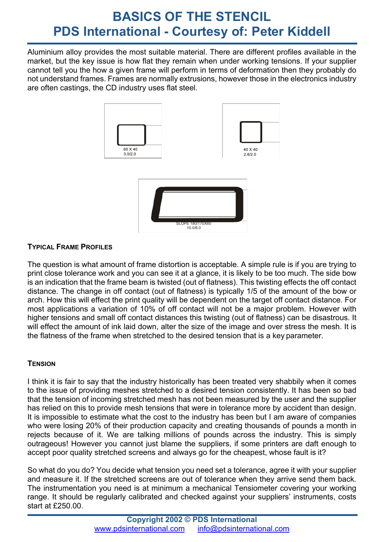# **BASICS OF THE STENCIL PDS International - Courtesy of: Peter Kiddell**

Aluminium alloy provides the most suitable material. There are different profiles available in the market, but the key issue is how flat they remain when under working tensions. If your supplier cannot tell you the how a given frame will perform in terms of deformation then they probably do not understand frames. Frames are normally extrusions, however those in the electronics industry are often castings, the CD industry uses flat steel.



## **TYPICAL FRAME PROFILES**

The question is what amount of frame distortion is acceptable. A simple rule is if you are trying to print close tolerance work and you can see it at a glance, it is likely to be too much. The side bow is an indication that the frame beam is twisted (out of flatness). This twisting effects the off contact distance. The change in off contact (out of flatness) is typically 1/5 of the amount of the bow or arch. How this will effect the print quality will be dependent on the target off contact distance. For most applications a variation of 10% of off contact will not be a major problem. However with higher tensions and small off contact distances this twisting (out of flatness) can be disastrous. It will effect the amount of ink laid down, alter the size of the image and over stress the mesh. It is the flatness of the frame when stretched to the desired tension that is a key parameter.

### **TENSION**

I think it is fair to say that the industry historically has been treated very shabbily when it comes to the issue of providing meshes stretched to a desired tension consistently. It has been so bad that the tension of incoming stretched mesh has not been measured by the user and the supplier has relied on this to provide mesh tensions that were in tolerance more by accident than design. It is impossible to estimate what the cost to the industry has been but I am aware of companies who were losing 20% of their production capacity and creating thousands of pounds a month in rejects because of it. We are talking millions of pounds across the industry. This is simply outrageous! However you cannot just blame the suppliers, if some printers are daft enough to accept poor quality stretched screens and always go for the cheapest, whose fault is it?

So what do you do? You decide what tension you need set a tolerance, agree it with your supplier and measure it. If the stretched screens are out of tolerance when they arrive send them back. The instrumentation you need is at minimum a mechanical Tensiometer covering your working range. It should be regularly calibrated and checked against your suppliers' instruments, costs start at £250.00.